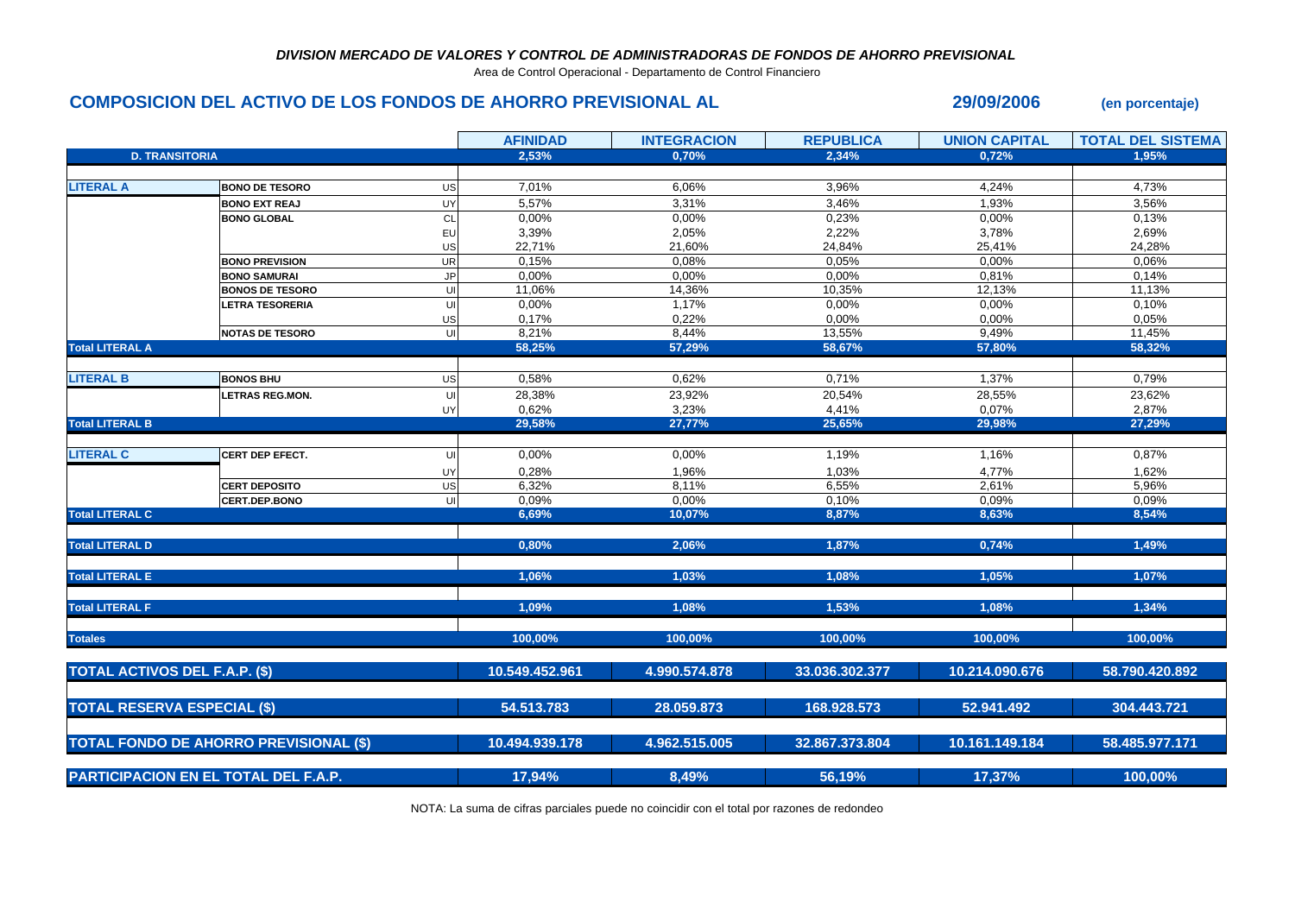## *DIVISION MERCADO DE VALORES Y CONTROL DE ADMINISTRADORAS DE FONDOS DE AHORRO PREVISIONAL*

Area de Control Operacional - Departamento de Control Financiero

## **COMPOSICION DEL ACTIVO DE LOS FONDOS DE AHORRO PREVISIONAL AL 29/09/2006 (en porcentaje)**

|                                             |                                               |           | <b>AFINIDAD</b> | <b>INTEGRACION</b> | <b>REPUBLICA</b> | <b>UNION CAPITAL</b> | <b>TOTAL DEL SISTEMA</b> |
|---------------------------------------------|-----------------------------------------------|-----------|-----------------|--------------------|------------------|----------------------|--------------------------|
| <b>D. TRANSITORIA</b>                       |                                               |           | 2,53%           | 0,70%              | 2,34%            | 0,72%                | 1.95%                    |
|                                             |                                               |           |                 |                    |                  |                      |                          |
| <b>LITERAL A</b>                            | <b>BONO DE TESORO</b>                         | US        | 7,01%           | 6,06%              | 3,96%            | 4,24%                | 4,73%                    |
|                                             | <b>BONO EXT REAJ</b>                          | UY        | 5,57%           | 3,31%              | 3,46%            | 1,93%                | 3,56%                    |
|                                             | <b>BONO GLOBAL</b>                            | CL        | 0,00%           | 0,00%              | 0,23%            | 0,00%                | 0,13%                    |
|                                             |                                               | EU        | 3,39%           | 2,05%              | 2,22%            | 3,78%                | 2,69%                    |
|                                             |                                               | US        | 22,71%          | 21,60%             | 24,84%           | 25,41%               | 24,28%                   |
|                                             | <b>BONO PREVISION</b>                         | <b>UR</b> | 0,15%           | 0,08%              | 0,05%            | 0,00%                | 0,06%                    |
|                                             | <b>BONO SAMURAI</b>                           | <b>JP</b> | 0,00%           | 0,00%              | 0,00%            | 0,81%                | 0,14%                    |
|                                             | <b>BONOS DE TESORO</b>                        | U         | 11,06%          | 14,36%             | 10,35%           | 12,13%               | 11,13%                   |
|                                             | <b>LETRA TESORERIA</b>                        | UI        | 0,00%           | 1,17%              | 0,00%            | 0,00%                | 0,10%                    |
|                                             |                                               | US        | 0,17%           | 0,22%              | 0,00%            | 0,00%                | 0,05%                    |
|                                             | <b>NOTAS DE TESORO</b>                        | UI        | 8,21%           | 8,44%              | 13,55%           | 9,49%                | 11,45%                   |
| <b>Total LITERAL A</b>                      |                                               |           | 58,25%          | 57,29%             | 58,67%           | 57,80%               | 58,32%                   |
|                                             |                                               |           |                 |                    |                  |                      |                          |
| <b>LITERAL B</b>                            | <b>BONOS BHU</b>                              | US        | 0,58%           | 0,62%              | 0,71%            | 1,37%                | 0,79%                    |
|                                             | <b>LETRAS REG.MON.</b>                        | U         | 28,38%          | 23,92%             | 20,54%           | 28,55%               | 23,62%                   |
|                                             |                                               | UY        | 0,62%           | 3,23%              | 4,41%            | 0,07%                | 2,87%                    |
| <b>Total LITERAL B</b>                      |                                               |           | 29,58%          | 27,77%             | 25,65%           | 29,98%               | 27,29%                   |
|                                             |                                               |           |                 |                    |                  |                      |                          |
| <b>LITERAL C</b>                            | <b>CERT DEP EFECT.</b>                        | U         | 0,00%           | 0,00%              | 1,19%            | 1,16%                | 0,87%                    |
|                                             |                                               | UY        | 0,28%           | 1,96%              | 1,03%            | 4,77%                | 1,62%                    |
|                                             | <b>CERT DEPOSITO</b>                          | US        | 6,32%           | 8,11%              | 6,55%            | 2,61%                | 5,96%                    |
|                                             | CERT.DEP.BONO                                 | U         | 0,09%           | 0,00%              | 0,10%            | 0,09%                | 0,09%                    |
| <b>Total LITERAL C</b>                      |                                               |           | 6,69%           | 10,07%             | 8,87%            | 8,63%                | 8,54%                    |
|                                             |                                               |           |                 |                    |                  |                      |                          |
| <b>Total LITERAL D</b>                      |                                               |           | 0,80%           | 2,06%              | 1,87%            | 0,74%                | 1,49%                    |
|                                             |                                               |           |                 |                    |                  |                      |                          |
| <b>Total LITERAL E</b>                      |                                               |           | 1.06%           | 1.03%              | 1.08%            | 1.05%                | 1.07%                    |
| <b>Total LITERAL F</b>                      |                                               |           | 1,09%           | 1,08%              | 1,53%            | 1,08%                | 1,34%                    |
|                                             |                                               |           |                 |                    |                  |                      |                          |
| <b>Totales</b>                              |                                               |           | 100,00%         | 100,00%            | 100,00%          | 100,00%              | 100,00%                  |
|                                             |                                               |           |                 |                    |                  |                      |                          |
| TOTAL ACTIVOS DEL F.A.P. (\$)               |                                               |           | 10.549.452.961  | 4.990.574.878      | 33.036.302.377   | 10.214.090.676       | 58.790.420.892           |
|                                             |                                               |           |                 |                    |                  |                      |                          |
| <b>TOTAL RESERVA ESPECIAL (\$)</b>          |                                               |           | 54.513.783      | 28.059.873         | 168.928.573      | 52.941.492           | 304.443.721              |
|                                             |                                               |           |                 |                    |                  |                      |                          |
|                                             | <b>TOTAL FONDO DE AHORRO PREVISIONAL (\$)</b> |           | 10.494.939.178  | 4.962.515.005      | 32.867.373.804   | 10.161.149.184       | 58.485.977.171           |
| <b>PARTICIPACION EN EL TOTAL DEL F.A.P.</b> |                                               |           | 17,94%          | 8,49%              | 56,19%           | 17,37%               | 100,00%                  |
|                                             |                                               |           |                 |                    |                  |                      |                          |

NOTA: La suma de cifras parciales puede no coincidir con el total por razones de redondeo